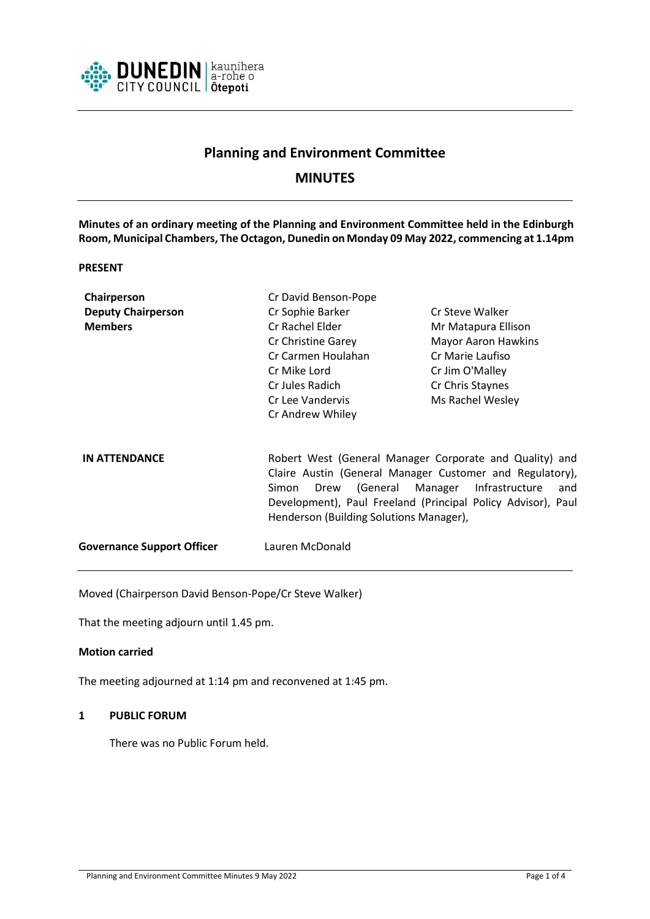

# **Planning and Environment Committee**

# **MINUTES**

**Minutes of an ordinary meeting of the Planning and Environment Committee held in the Edinburgh Room, Municipal Chambers, The Octagon, Dunedin on Monday 09 May 2022, commencing at 1.14pm**

## **PRESENT**

| Chairperson                       | Cr David Benson-Pope                                         |                            |
|-----------------------------------|--------------------------------------------------------------|----------------------------|
| <b>Deputy Chairperson</b>         | Cr Sophie Barker                                             | Cr Steve Walker            |
| <b>Members</b>                    | Cr Rachel Elder                                              | Mr Matapura Ellison        |
|                                   | Cr Christine Garey                                           | <b>Mayor Aaron Hawkins</b> |
|                                   | Cr Carmen Houlahan                                           | Cr Marie Laufiso           |
|                                   | Cr Mike Lord                                                 | Cr Jim O'Malley            |
|                                   | Cr Jules Radich                                              | Cr Chris Staynes           |
|                                   | Cr Lee Vandervis                                             | Ms Rachel Wesley           |
|                                   | Cr Andrew Whiley                                             |                            |
|                                   |                                                              |                            |
| <b>IN ATTENDANCE</b>              | Robert West (General Manager Corporate and Quality) and      |                            |
|                                   | Claire Austin (General Manager Customer and Regulatory),     |                            |
|                                   | Drew (General Manager Infrastructure<br>Simon<br>and         |                            |
|                                   | Development), Paul Freeland (Principal Policy Advisor), Paul |                            |
|                                   | Henderson (Building Solutions Manager),                      |                            |
| <b>Governance Support Officer</b> | Lauren McDonald                                              |                            |
|                                   |                                                              |                            |

Moved (Chairperson David Benson-Pope/Cr Steve Walker)

That the meeting adjourn until 1.45 pm.

#### **Motion carried**

The meeting adjourned at 1:14 pm and reconvened at 1:45 pm.

## **1 PUBLIC FORUM**

There was no Public Forum held.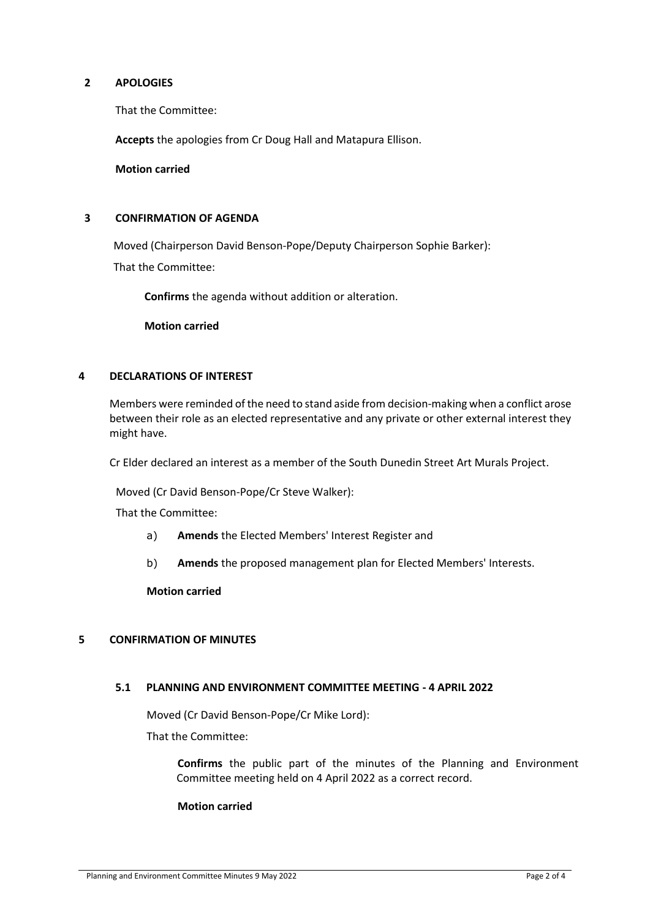## **2 APOLOGIES**

That the Committee:

**Accepts** the apologies from Cr Doug Hall and Matapura Ellison.

**Motion carried**

## **3 CONFIRMATION OF AGENDA**

Moved (Chairperson David Benson-Pope/Deputy Chairperson Sophie Barker): That the Committee:

**Confirms** the agenda without addition or alteration.

**Motion carried**

## **4 DECLARATIONS OF INTEREST**

Members were reminded of the need to stand aside from decision-making when a conflict arose between their role as an elected representative and any private or other external interest they might have.

Cr Elder declared an interest as a member of the South Dunedin Street Art Murals Project.

Moved (Cr David Benson-Pope/Cr Steve Walker):

That the Committee:

- a) **Amends** the Elected Members' Interest Register and
- b) **Amends** the proposed management plan for Elected Members' Interests.

**Motion carried**

## **5 CONFIRMATION OF MINUTES**

## **5.1 PLANNING AND ENVIRONMENT COMMITTEE MEETING - 4 APRIL 2022**

Moved (Cr David Benson-Pope/Cr Mike Lord):

That the Committee:

**Confirms** the public part of the minutes of the Planning and Environment Committee meeting held on 4 April 2022 as a correct record.

## **Motion carried**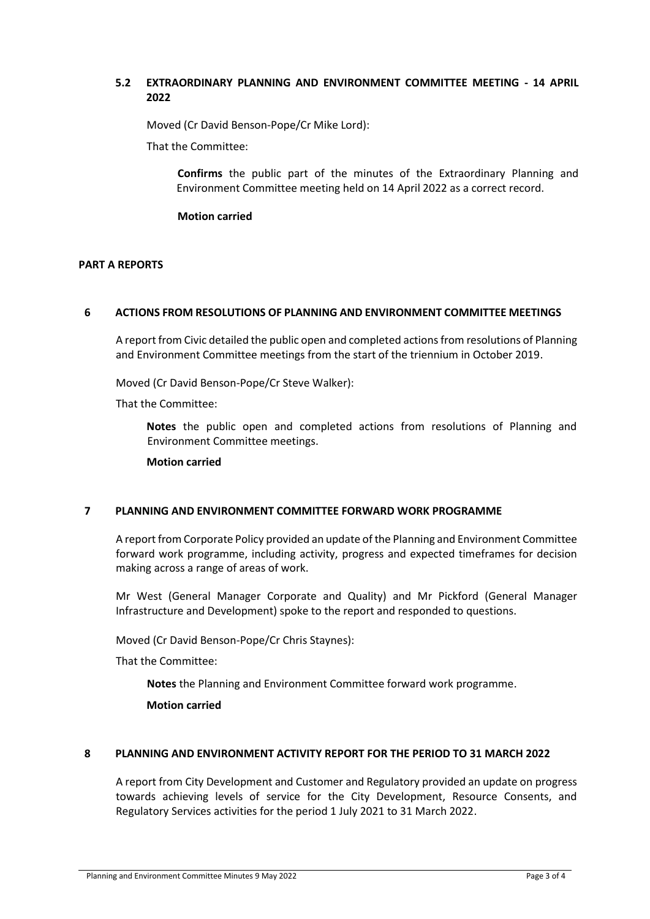# **5.2 EXTRAORDINARY PLANNING AND ENVIRONMENT COMMITTEE MEETING - 14 APRIL 2022**

Moved (Cr David Benson-Pope/Cr Mike Lord):

That the Committee:

**Confirms** the public part of the minutes of the Extraordinary Planning and Environment Committee meeting held on 14 April 2022 as a correct record.

**Motion carried**

#### **PART A REPORTS**

#### **6 ACTIONS FROM RESOLUTIONS OF PLANNING AND ENVIRONMENT COMMITTEE MEETINGS**

A report from Civic detailed the public open and completed actions from resolutions of Planning and Environment Committee meetings from the start of the triennium in October 2019.

Moved (Cr David Benson-Pope/Cr Steve Walker):

That the Committee:

**Notes** the public open and completed actions from resolutions of Planning and Environment Committee meetings.

**Motion carried**

## **7 PLANNING AND ENVIRONMENT COMMITTEE FORWARD WORK PROGRAMME**

A report from Corporate Policy provided an update of the Planning and Environment Committee forward work programme, including activity, progress and expected timeframes for decision making across a range of areas of work.

Mr West (General Manager Corporate and Quality) and Mr Pickford (General Manager Infrastructure and Development) spoke to the report and responded to questions.

Moved (Cr David Benson-Pope/Cr Chris Staynes):

That the Committee:

**Notes** the Planning and Environment Committee forward work programme.

**Motion carried**

## **8 PLANNING AND ENVIRONMENT ACTIVITY REPORT FOR THE PERIOD TO 31 MARCH 2022**

A report from City Development and Customer and Regulatory provided an update on progress towards achieving levels of service for the City Development, Resource Consents, and Regulatory Services activities for the period 1 July 2021 to 31 March 2022.